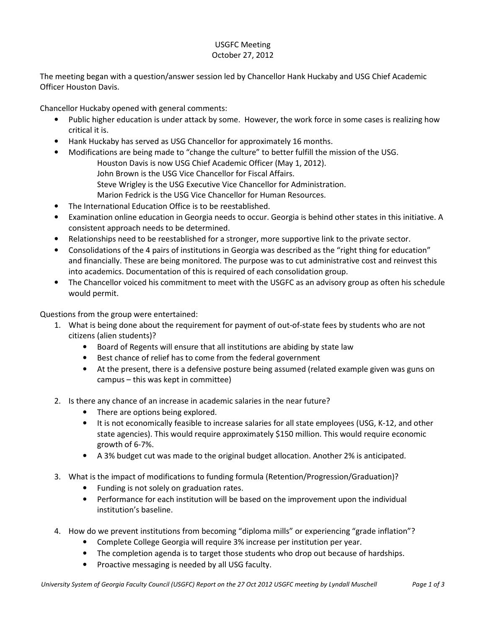## USGFC Meeting October 27, 2012

The meeting began with a question/answer session led by Chancellor Hank Huckaby and USG Chief Academic Officer Houston Davis.

Chancellor Huckaby opened with general comments:

- Public higher education is under attack by some. However, the work force in some cases is realizing how critical it is.
- Hank Huckaby has served as USG Chancellor for approximately 16 months.
- Modifications are being made to "change the culture" to better fulfill the mission of the USG. Houston Davis is now USG Chief Academic Officer (May 1, 2012). John Brown is the USG Vice Chancellor for Fiscal Affairs. Steve Wrigley is the USG Executive Vice Chancellor for Administration.
	- Marion Fedrick is the USG Vice Chancellor for Human Resources.
- The International Education Office is to be reestablished.
- Examination online education in Georgia needs to occur. Georgia is behind other states in this initiative. A consistent approach needs to be determined.
- Relationships need to be reestablished for a stronger, more supportive link to the private sector.
- Consolidations of the 4 pairs of institutions in Georgia was described as the "right thing for education" and financially. These are being monitored. The purpose was to cut administrative cost and reinvest this into academics. Documentation of this is required of each consolidation group.
- The Chancellor voiced his commitment to meet with the USGFC as an advisory group as often his schedule would permit.

Questions from the group were entertained:

- 1. What is being done about the requirement for payment of out-of-state fees by students who are not citizens (alien students)?
	- Board of Regents will ensure that all institutions are abiding by state law
	- Best chance of relief has to come from the federal government
	- At the present, there is a defensive posture being assumed (related example given was guns on campus – this was kept in committee)
- 2. Is there any chance of an increase in academic salaries in the near future?
	- There are options being explored.
	- It is not economically feasible to increase salaries for all state employees (USG, K-12, and other state agencies). This would require approximately \$150 million. This would require economic growth of 6-7%.
	- A 3% budget cut was made to the original budget allocation. Another 2% is anticipated.
- 3. What is the impact of modifications to funding formula (Retention/Progression/Graduation)?
	- Funding is not solely on graduation rates.
	- Performance for each institution will be based on the improvement upon the individual institution's baseline.
- 4. How do we prevent institutions from becoming "diploma mills" or experiencing "grade inflation"?
	- Complete College Georgia will require 3% increase per institution per year.
	- The completion agenda is to target those students who drop out because of hardships.
	- Proactive messaging is needed by all USG faculty.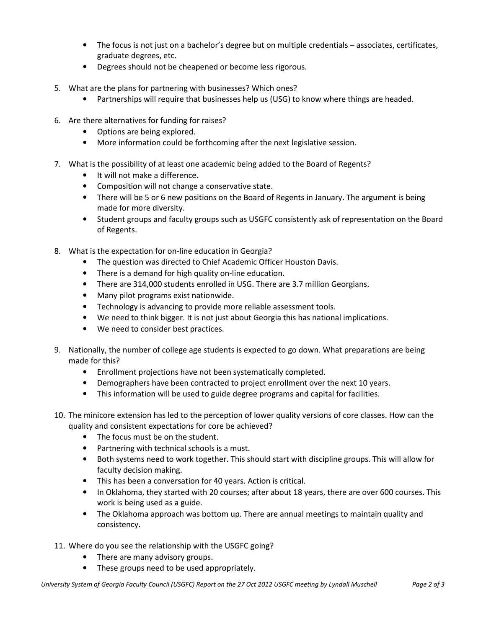- The focus is not just on a bachelor's degree but on multiple credentials associates, certificates, graduate degrees, etc.
- Degrees should not be cheapened or become less rigorous.
- 5. What are the plans for partnering with businesses? Which ones?
	- Partnerships will require that businesses help us (USG) to know where things are headed.
- 6. Are there alternatives for funding for raises?
	- Options are being explored.
	- More information could be forthcoming after the next legislative session.
- 7. What is the possibility of at least one academic being added to the Board of Regents?
	- It will not make a difference.
	- Composition will not change a conservative state.
	- There will be 5 or 6 new positions on the Board of Regents in January. The argument is being made for more diversity.
	- Student groups and faculty groups such as USGFC consistently ask of representation on the Board of Regents.
- 8. What is the expectation for on-line education in Georgia?
	- The question was directed to Chief Academic Officer Houston Davis.
	- There is a demand for high quality on-line education.
	- There are 314,000 students enrolled in USG. There are 3.7 million Georgians.
	- Many pilot programs exist nationwide.
	- Technology is advancing to provide more reliable assessment tools.
	- We need to think bigger. It is not just about Georgia this has national implications.
	- We need to consider best practices.
- 9. Nationally, the number of college age students is expected to go down. What preparations are being made for this?
	- Enrollment projections have not been systematically completed.
	- Demographers have been contracted to project enrollment over the next 10 years.
	- This information will be used to guide degree programs and capital for facilities.
- 10. The minicore extension has led to the perception of lower quality versions of core classes. How can the quality and consistent expectations for core be achieved?
	- The focus must be on the student.
	- Partnering with technical schools is a must.
	- Both systems need to work together. This should start with discipline groups. This will allow for faculty decision making.
	- This has been a conversation for 40 years. Action is critical.
	- In Oklahoma, they started with 20 courses; after about 18 years, there are over 600 courses. This work is being used as a guide.
	- The Oklahoma approach was bottom up. There are annual meetings to maintain quality and consistency.
- 11. Where do you see the relationship with the USGFC going?
	- There are many advisory groups.
	- These groups need to be used appropriately.